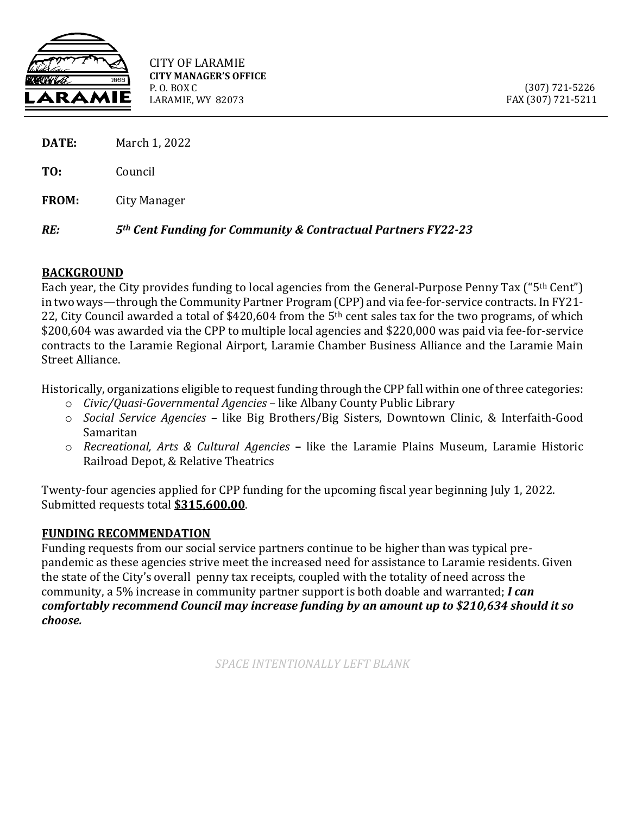

CITY OF LARAMIE **CITY MANAGER'S OFFICE** P. O. BOX C LARAMIE, WY 82073

 (307) 721-5226 FAX (307) 721-5211

| RE:          | 5 <sup>th</sup> Cent Funding for Community & Contractual Partners FY22-23 |
|--------------|---------------------------------------------------------------------------|
| <b>FROM:</b> | City Manager                                                              |
| TO:          | Council                                                                   |
| DATE:        | March 1, 2022                                                             |

## **BACKGROUND**

Each year, the City provides funding to local agencies from the General-Purpose Penny Tax ("5th Cent") in two ways—through the Community Partner Program (CPP) and via fee-for-service contracts. In FY21- 22, City Council awarded a total of \$420,604 from the 5<sup>th</sup> cent sales tax for the two programs, of which \$200,604 was awarded via the CPP to multiple local agencies and \$220,000 was paid via fee-for-service contracts to the Laramie Regional Airport, Laramie Chamber Business Alliance and the Laramie Main Street Alliance.

Historically, organizations eligible to request funding through the CPP fall within one ofthree categories:

- o *Civic/Quasi-Governmental Agencies* like Albany County Public Library
- o *Social Service Agencies* **–** like Big Brothers/Big Sisters, Downtown Clinic, & Interfaith-Good Samaritan
- o *Recreational, Arts & Cultural Agencies* **–** like the Laramie Plains Museum, Laramie Historic Railroad Depot, & Relative Theatrics

Twenty-four agencies applied for CPP funding for the upcoming fiscal year beginning July 1, 2022. Submitted requests total **\$315,600.00**.

## **FUNDING RECOMMENDATION**

Funding requests from our social service partners continue to be higher than was typical prepandemic as these agencies strive meet the increased need for assistance to Laramie residents. Given the state of the City's overall penny tax receipts, coupled with the totality of need across the community, a 5% increase in community partner support is both doable and warranted; *I can comfortably recommend Council may increase funding by an amount up to \$210,634 should it so choose.*

*SPACE INTENTIONALLY LEFT BLANK*